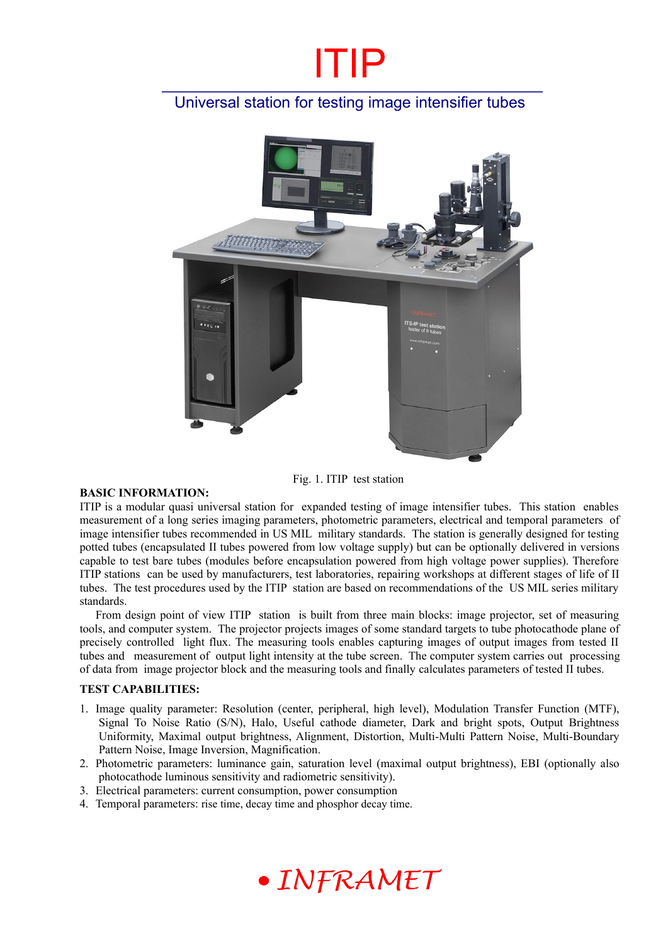## Universal station for testing image intensifier tubes



Fig. 1. ITIP test station

#### **BASIC INFORMATION:**

ITIP is a modular quasi universal station for expanded testing of image intensifier tubes. This station enables measurement of a long series imaging parameters, photometric parameters, electrical and temporal parameters of image intensifier tubes recommended in US MIL military standards. The station is generally designed for testing potted tubes (encapsulated II tubes powered from low voltage supply) but can be optionally delivered in versions capable to test bare tubes (modules before encapsulation powered from high voltage power supplies). Therefore ITIP stations can be used by manufacturers, test laboratories, repairing workshops at different stages of life of II tubes. The test procedures used by the ITIP station are based on recommendations of the US MIL series military standards.

From design point of view ITIP station is built from three main blocks: image projector, set of measuring tools, and computer system. The projector projects images of some standard targets to tube photocathode plane of precisely controlled light flux. The measuring tools enables capturing images of output images from tested II tubes and measurement of output light intensity at the tube screen. The computer system carries out processing of data from image projector block and the measuring tools and finally calculates parameters of tested II tubes.

#### **TEST CAPABILITIES:**

- 1. Image quality parameter: Resolution (center, peripheral, high level), Modulation Transfer Function (MTF), Signal To Noise Ratio (S/N), Halo, Useful cathode diameter, Dark and bright spots, Output Brightness Uniformity, Maximal output brightness, Alignment, Distortion, Multi-Multi Pattern Noise, Multi-Boundary Pattern Noise, Image Inversion, Magnification.
- 2. Photometric parameters: luminance gain, saturation level (maximal output brightness), EBI (optionally also photocathode luminous sensitivity and radiometric sensitivity).
- 3. Electrical parameters: current consumption, power consumption
- 4. Temporal parameters: rise time, decay time and phosphor decay time.

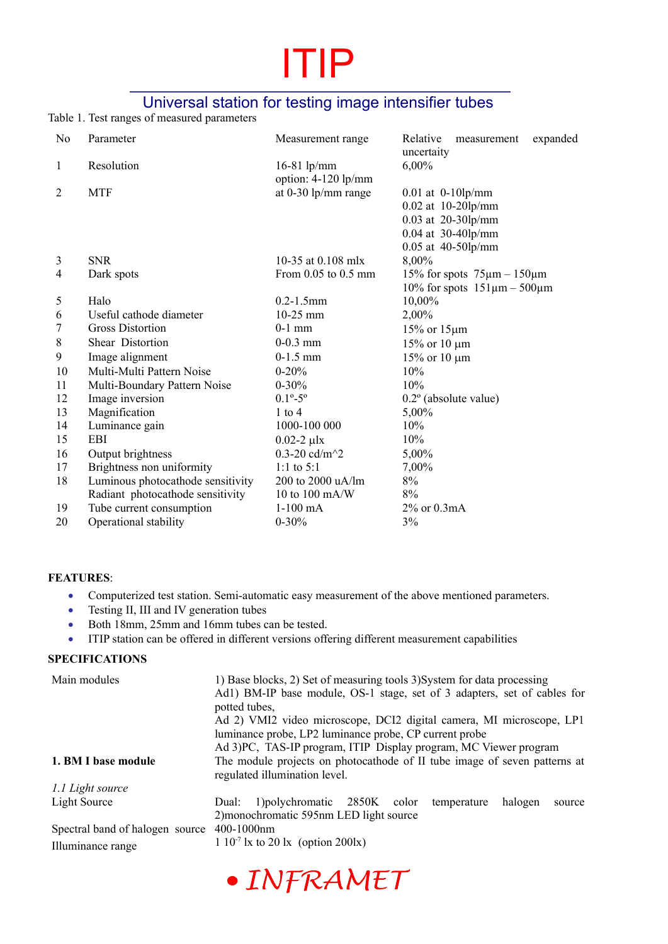## Universal station for testing image intensifier tubes

Table 1. Test ranges of measured parameters

| N <sub>0</sub> | Parameter                         | Measurement range                    | Relative<br>expanded<br>measurement<br>uncertaity |
|----------------|-----------------------------------|--------------------------------------|---------------------------------------------------|
| 1              | Resolution                        | $16-81$ lp/mm<br>option: 4-120 lp/mm | $6,00\%$                                          |
| $\overline{2}$ | <b>MTF</b>                        | at 0-30 lp/mm range                  | $0.01$ at $0-10$ lp/mm                            |
|                |                                   |                                      | $0.02$ at 10-20lp/mm                              |
|                |                                   |                                      | 0.03 at 20-30lp/mm                                |
|                |                                   |                                      | 0.04 at 30-40lp/mm                                |
|                |                                   |                                      | 0.05 at 40-50lp/mm                                |
| 3              | <b>SNR</b>                        | 10-35 at 0.108 mlx                   | 8,00%                                             |
| 4              | Dark spots                        | From 0.05 to 0.5 mm                  | 15% for spots $75\mu$ m – 150 $\mu$ m             |
|                |                                   |                                      | 10% for spots $151 \mu m - 500 \mu m$             |
| 5              | Halo                              | $0.2 - 1.5$ mm                       | 10,00%                                            |
| 6              | Useful cathode diameter           | $10-25$ mm                           | 2,00%                                             |
| 7              | <b>Gross Distortion</b>           | $0-1$ mm                             | $15\%$ or $15\mu m$                               |
| 8              | Shear Distortion                  | $0-0.3$ mm                           | 15% or 10 $\mu$ m                                 |
| 9              | Image alignment                   | $0-1.5$ mm                           | $15\%$ or 10 $\mu$ m                              |
| 10             | Multi-Multi Pattern Noise         | $0 - 20%$                            | 10%                                               |
| 11             | Multi-Boundary Pattern Noise      | $0 - 30\%$                           | 10%                                               |
| 12             | Image inversion                   | $0.1^{\circ} - 5^{\circ}$            | $0.2^{\circ}$ (absolute value)                    |
| 13             | Magnification                     | $1$ to $4$                           | 5,00%                                             |
| 14             | Luminance gain                    | 1000-100 000                         | 10%                                               |
| 15             | <b>EBI</b>                        | $0.02 - 2 \mu$ lx                    | 10%                                               |
| 16             | Output brightness                 | 0.3-20 $cd/m^2$                      | 5,00%                                             |
| 17             | Brightness non uniformity         | 1:1 to $5:1$                         | 7,00%                                             |
| 18             | Luminous photocathode sensitivity | 200 to 2000 uA/lm                    | 8%                                                |
|                | Radiant photocathode sensitivity  | 10 to 100 mA/W                       | 8%                                                |
| 19             | Tube current consumption          | $1-100$ mA                           | 2% or 0.3mA                                       |
| 20             | Operational stability             | $0 - 30\%$                           | 3%                                                |

### **FEATURES**:

- Computerized test station. Semi-automatic easy measurement of the above mentioned parameters.
- Testing II, III and IV generation tubes
- Both 18mm, 25mm and 16mm tubes can be tested.
- ITIP station can be offered in different versions offering different measurement capabilities

### **SPECIFICATIONS**

| Main modules                    | 1) Base blocks, 2) Set of measuring tools 3) System for data processing<br>Ad1) BM-IP base module, OS-1 stage, set of 3 adapters, set of cables for<br>potted tubes,<br>Ad 2) VMI2 video microscope, DCI2 digital camera, MI microscope, LP1<br>luminance probe, LP2 luminance probe, CP current probe<br>Ad 3)PC, TAS-IP program, ITIP Display program, MC Viewer program |  |
|---------------------------------|----------------------------------------------------------------------------------------------------------------------------------------------------------------------------------------------------------------------------------------------------------------------------------------------------------------------------------------------------------------------------|--|
| 1. BM I base module             | The module projects on photocathode of II tube image of seven patterns at<br>regulated illumination level.                                                                                                                                                                                                                                                                 |  |
| 1.1 Light source                |                                                                                                                                                                                                                                                                                                                                                                            |  |
| Light Source                    | 1) polychromatic 2850K color<br>temperature<br>halogen<br>Dual:<br>source<br>2) monochromatic 595nm LED light source                                                                                                                                                                                                                                                       |  |
| Spectral band of halogen source | $400 - 1000$ nm                                                                                                                                                                                                                                                                                                                                                            |  |
| Illuminance range               | $1\ 10^{-7}$ lx to 20 lx (option 200lx)                                                                                                                                                                                                                                                                                                                                    |  |

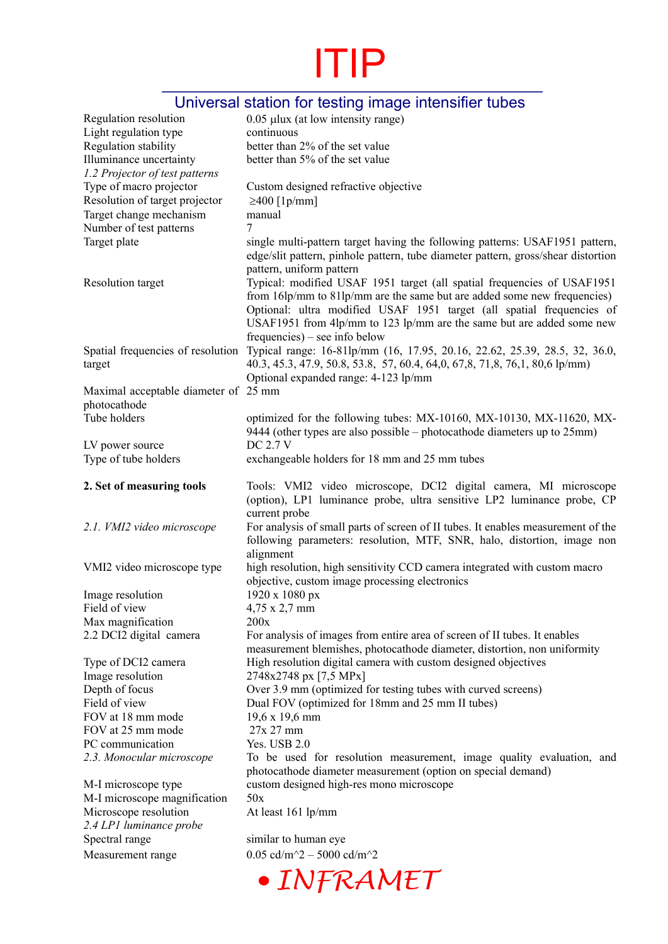

## Universal station for testing image intensifier tubes

| Regulation resolution<br>Light regulation type<br>Regulation stability | 0.05 µlux (at low intensity range)<br>continuous<br>better than 2% of the set value                                                                                                                                                                                                                   |
|------------------------------------------------------------------------|-------------------------------------------------------------------------------------------------------------------------------------------------------------------------------------------------------------------------------------------------------------------------------------------------------|
| Illuminance uncertainty<br>1.2 Projector of test patterns              | better than 5% of the set value                                                                                                                                                                                                                                                                       |
| Type of macro projector                                                | Custom designed refractive objective                                                                                                                                                                                                                                                                  |
| Resolution of target projector                                         | $\geq$ 400 [1p/mm]                                                                                                                                                                                                                                                                                    |
| Target change mechanism                                                | manual                                                                                                                                                                                                                                                                                                |
| Number of test patterns<br>Target plate                                | 7<br>single multi-pattern target having the following patterns: USAF1951 pattern,                                                                                                                                                                                                                     |
|                                                                        | edge/slit pattern, pinhole pattern, tube diameter pattern, gross/shear distortion<br>pattern, uniform pattern                                                                                                                                                                                         |
| Resolution target                                                      | Typical: modified USAF 1951 target (all spatial frequencies of USAF1951<br>from 16lp/mm to 81lp/mm are the same but are added some new frequencies)<br>Optional: ultra modified USAF 1951 target (all spatial frequencies of<br>USAF1951 from 4lp/mm to 123 lp/mm are the same but are added some new |
|                                                                        | $frequencies$ ) – see info below                                                                                                                                                                                                                                                                      |
| Spatial frequencies of resolution<br>target                            | Typical range: 16-81lp/mm (16, 17.95, 20.16, 22.62, 25.39, 28.5, 32, 36.0,<br>40.3, 45.3, 47.9, 50.8, 53.8, 57, 60.4, 64,0, 67,8, 71,8, 76,1, 80,6 lp/mm)<br>Optional expanded range: 4-123 lp/mm                                                                                                     |
| Maximal acceptable diameter of 25 mm                                   |                                                                                                                                                                                                                                                                                                       |
| photocathode                                                           |                                                                                                                                                                                                                                                                                                       |
| Tube holders                                                           | optimized for the following tubes: MX-10160, MX-10130, MX-11620, MX-                                                                                                                                                                                                                                  |
| LV power source                                                        | 9444 (other types are also possible – photocathode diameters up to $25mm$ )<br>DC 2.7 V                                                                                                                                                                                                               |
| Type of tube holders                                                   | exchangeable holders for 18 mm and 25 mm tubes                                                                                                                                                                                                                                                        |
| 2. Set of measuring tools                                              | Tools: VMI2 video microscope, DCI2 digital camera, MI microscope                                                                                                                                                                                                                                      |
|                                                                        | (option), LP1 luminance probe, ultra sensitive LP2 luminance probe, CP<br>current probe                                                                                                                                                                                                               |
| 2.1. VMI2 video microscope                                             | For analysis of small parts of screen of II tubes. It enables measurement of the<br>following parameters: resolution, MTF, SNR, halo, distortion, image non<br>alignment                                                                                                                              |
| VMI2 video microscope type                                             | high resolution, high sensitivity CCD camera integrated with custom macro<br>objective, custom image processing electronics                                                                                                                                                                           |
| Image resolution                                                       | 1920 x 1080 px                                                                                                                                                                                                                                                                                        |
| Field of view                                                          | $4,75 \times 2,7 \text{ mm}$                                                                                                                                                                                                                                                                          |
| Max magnification<br>2.2 DCI2 digital camera                           | 200x<br>For analysis of images from entire area of screen of II tubes. It enables                                                                                                                                                                                                                     |
|                                                                        | measurement blemishes, photocathode diameter, distortion, non uniformity                                                                                                                                                                                                                              |
| Type of DCI2 camera                                                    | High resolution digital camera with custom designed objectives                                                                                                                                                                                                                                        |
| Image resolution                                                       | 2748x2748 px [7,5 MPx]                                                                                                                                                                                                                                                                                |
| Depth of focus                                                         | Over 3.9 mm (optimized for testing tubes with curved screens)                                                                                                                                                                                                                                         |
| Field of view                                                          | Dual FOV (optimized for 18mm and 25 mm II tubes)                                                                                                                                                                                                                                                      |
| FOV at 18 mm mode<br>FOV at 25 mm mode                                 | 19,6 x 19,6 mm<br>$27x 27$ mm                                                                                                                                                                                                                                                                         |
| PC communication                                                       | Yes. USB 2.0                                                                                                                                                                                                                                                                                          |
| 2.3. Monocular microscope                                              | To be used for resolution measurement, image quality evaluation, and                                                                                                                                                                                                                                  |
|                                                                        | photocathode diameter measurement (option on special demand)                                                                                                                                                                                                                                          |
| M-I microscope type                                                    | custom designed high-res mono microscope                                                                                                                                                                                                                                                              |
| M-I microscope magnification                                           | 50x                                                                                                                                                                                                                                                                                                   |
| Microscope resolution                                                  | At least 161 lp/mm                                                                                                                                                                                                                                                                                    |
| 2.4 LP1 luminance probe<br>Spectral range                              |                                                                                                                                                                                                                                                                                                       |
|                                                                        |                                                                                                                                                                                                                                                                                                       |
|                                                                        | similar to human eye                                                                                                                                                                                                                                                                                  |
| Measurement range                                                      | 0.05 cd/m <sup><math>\gamma</math>2</sup> - 5000 cd/m <sup><math>\gamma</math>2</sup><br>· INFRAMET                                                                                                                                                                                                   |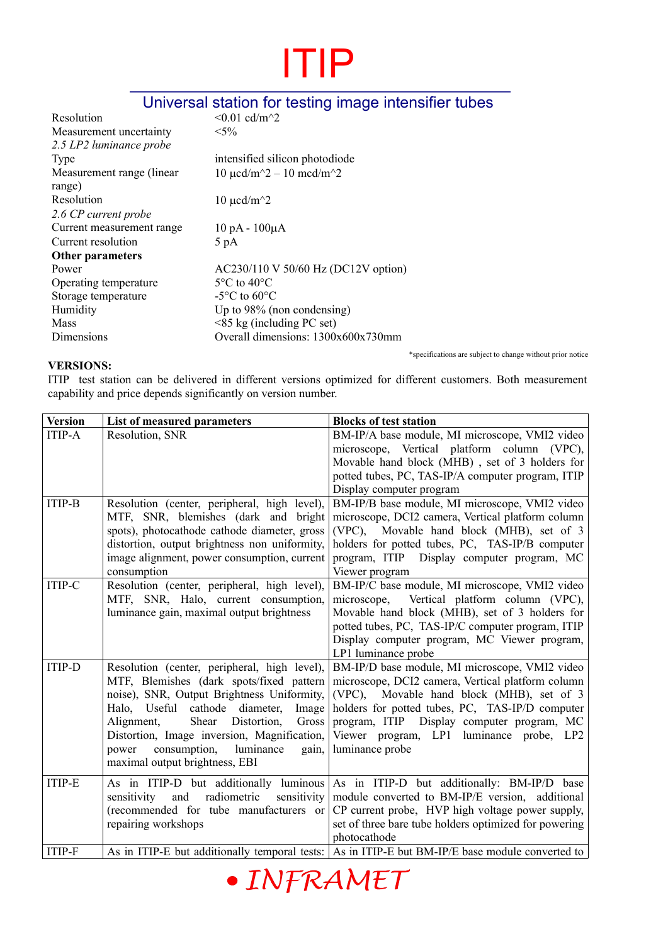## Universal station for testing image intensifier tubes

| Resolution                | $< 0.01$ cd/m <sup><math>\sim</math></sup> 2           |
|---------------------------|--------------------------------------------------------|
| Measurement uncertainty   | $< 5\%$                                                |
| 2.5 LP2 luminance probe   |                                                        |
| Type                      | intensified silicon photodiode                         |
| Measurement range (linear | $10 \mu c d/m^2 - 10 \text{ med}/m^2$                  |
| range)                    |                                                        |
| Resolution                | $10 \mu$ ucd/m <sup><math>\gamma</math></sup> 2        |
| 2.6 CP current probe      |                                                        |
| Current measurement range | $10 pA - 100 \mu A$                                    |
| Current resolution        | 5 pA                                                   |
| <b>Other parameters</b>   |                                                        |
| Power                     | $AC230/110 \text{ V } 50/60 \text{ Hz}$ (DC12V option) |
| Operating temperature     | $5^{\circ}$ C to $40^{\circ}$ C                        |
| Storage temperature       | $-5^{\circ}$ C to 60 $^{\circ}$ C                      |
| Humidity                  | Up to $98\%$ (non condensing)                          |
| Mass                      | $\leq$ 85 kg (including PC set)                        |
| Dimensions                | Overall dimensions: 1300x600x730mm                     |
|                           |                                                        |

\*specifications are subject to change without prior notice

### **VERSIONS:**

ITIP test station can be delivered in different versions optimized for different customers. Both measurement capability and price depends significantly on version number.

| <b>Version</b> | List of measured parameters                                                                   | <b>Blocks of test station</b>                                                                             |
|----------------|-----------------------------------------------------------------------------------------------|-----------------------------------------------------------------------------------------------------------|
| <b>ITIP-A</b>  | Resolution, SNR                                                                               | BM-IP/A base module, MI microscope, VMI2 video<br>microscope, Vertical platform column (VPC),             |
|                |                                                                                               | Movable hand block (MHB), set of 3 holders for                                                            |
|                |                                                                                               | potted tubes, PC, TAS-IP/A computer program, ITIP                                                         |
|                |                                                                                               | Display computer program                                                                                  |
| <b>ITIP-B</b>  | Resolution (center, peripheral, high level),                                                  | BM-IP/B base module, MI microscope, VMI2 video                                                            |
|                | MTF, SNR, blemishes (dark and bright                                                          | microscope, DCI2 camera, Vertical platform column<br>Movable hand block (MHB), set of 3                   |
|                | spots), photocathode cathode diameter, gross<br>distortion, output brightness non uniformity, | $(VPC)$ .<br>holders for potted tubes, PC, TAS-IP/B computer                                              |
|                | image alignment, power consumption, current                                                   | program, ITIP Display computer program, MC                                                                |
|                | consumption                                                                                   | Viewer program                                                                                            |
| <b>ITIP-C</b>  | Resolution (center, peripheral, high level),                                                  | BM-IP/C base module, MI microscope, VMI2 video                                                            |
|                | MTF, SNR, Halo, current consumption,                                                          | Vertical platform column (VPC),<br>microscope,                                                            |
|                | luminance gain, maximal output brightness                                                     | Movable hand block (MHB), set of 3 holders for<br>potted tubes, PC, TAS-IP/C computer program, ITIP       |
|                |                                                                                               | Display computer program, MC Viewer program,                                                              |
|                |                                                                                               | LP1 luminance probe                                                                                       |
| <b>ITIP-D</b>  | Resolution (center, peripheral, high level),                                                  | BM-IP/D base module, MI microscope, VMI2 video                                                            |
|                | MTF, Blemishes (dark spots/fixed pattern<br>noise), SNR, Output Brightness Uniformity,        | microscope, DCI2 camera, Vertical platform column<br>Movable hand block (MHB), set of 3<br>$(VPC)$ .      |
|                | Halo, Useful cathode diameter,<br>Image                                                       | holders for potted tubes, PC, TAS-IP/D computer                                                           |
|                | Alignment,<br>Shear Distortion,<br>Gross                                                      | program, ITIP Display computer program, MC                                                                |
|                | Distortion, Image inversion, Magnification,                                                   | Viewer program, LP1 luminance probe, LP2                                                                  |
|                | consumption,<br>luminance<br>gain,<br>power                                                   | luminance probe                                                                                           |
|                | maximal output brightness, EBI                                                                |                                                                                                           |
| <b>ITIP-E</b>  |                                                                                               | As in ITIP-D but additionally luminous As in ITIP-D but additionally: BM-IP/D base                        |
|                | radiometric<br>and<br>sensitivity<br>sensitivity                                              | module converted to BM-IP/E version, additional                                                           |
|                | (recommended for tube manufacturers or<br>repairing workshops                                 | CP current probe, HVP high voltage power supply,<br>set of three bare tube holders optimized for powering |
|                |                                                                                               | photocathode                                                                                              |
| <b>ITIP-F</b>  | As in ITIP-E but additionally temporal tests:                                                 | As in ITIP-E but BM-IP/E base module converted to                                                         |
|                |                                                                                               |                                                                                                           |

· INFRAMET